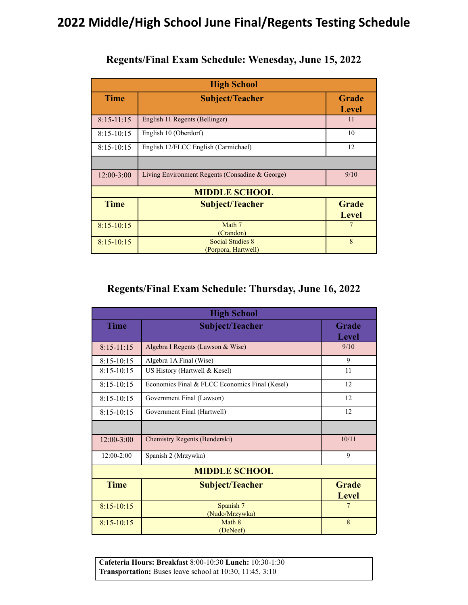# **2022 Middle/High School June Final/Regents Testing Schedule**

| <b>High School</b>   |                                                 |                              |
|----------------------|-------------------------------------------------|------------------------------|
| <b>Time</b>          | <b>Subject/Teacher</b>                          | Grade<br><b>Level</b>        |
| $8:15-11:15$         | English 11 Regents (Bellinger)                  | 11                           |
| $8:15 - 10:15$       | English 10 (Oberdorf)                           | 10                           |
| $8:15 - 10:15$       | English 12/FLCC English (Carmichael)            | 12                           |
|                      |                                                 |                              |
| $12:00 - 3:00$       | Living Environment Regents (Consadine & George) | 9/10                         |
| <b>MIDDLE SCHOOL</b> |                                                 |                              |
| <b>Time</b>          | <b>Subject/Teacher</b>                          | <b>Grade</b><br><b>Level</b> |
| $8:15 - 10:15$       | Math 7<br>(Crandon)                             | 7                            |
| $8:15-10:15$         | <b>Social Studies 8</b><br>(Porpora, Hartwell)  | 8                            |

#### **Regents/Final Exam Schedule: Wenesday, June 15, 2022**

## **Regents/Final Exam Schedule: Thursday, June 16, 2022**

| <b>High School</b> |                                                |                              |  |
|--------------------|------------------------------------------------|------------------------------|--|
| <b>Time</b>        | <b>Subject/Teacher</b>                         | Grade<br><b>Level</b>        |  |
| $8:15-11:15$       | Algebra I Regents (Lawson & Wise)              | 9/10                         |  |
| $8:15 - 10:15$     | Algebra 1A Final (Wise)                        | 9                            |  |
| $8:15 - 10:15$     | US History (Hartwell & Kesel)                  | 11                           |  |
| $8:15 - 10:15$     | Economics Final & FLCC Economics Final (Kesel) | 12                           |  |
| $8:15 - 10:15$     | Government Final (Lawson)                      | 12                           |  |
| $8:15 - 10:15$     | Government Final (Hartwell)                    | 12                           |  |
|                    |                                                |                              |  |
| $12:00 - 3:00$     | Chemistry Regents (Benderski)                  | 10/11                        |  |
| $12:00-2:00$       | Spanish 2 (Mrzywka)                            | 9                            |  |
|                    | <b>MIDDLE SCHOOL</b>                           |                              |  |
| <b>Time</b>        | <b>Subject/Teacher</b>                         | <b>Grade</b><br><b>Level</b> |  |
| $8:15 - 10:15$     | Spanish 7<br>(Nudo/Mrzywka)                    | 7                            |  |
| $8:15 - 10:15$     | Math 8<br>(DeNeef)                             | 8                            |  |

**Cafeteria Hours: Breakfast** 8:00-10:30 **Lunch:** 10:30-1:30 **Transportation:** Buses leave school at 10:30, 11:45, 3:10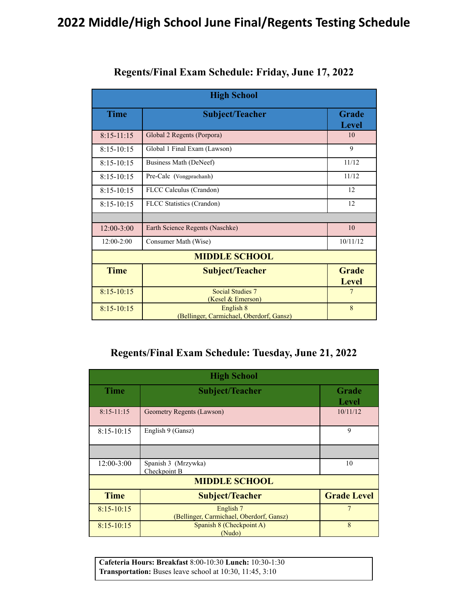## **2022 Middle/High School June Final/Regents Testing Schedule**

| <b>High School</b>   |                                                       |                              |
|----------------------|-------------------------------------------------------|------------------------------|
| <b>Time</b>          | <b>Subject/Teacher</b>                                | Grade<br><b>Level</b>        |
| $8:15-11:15$         | Global 2 Regents (Porpora)                            | 10                           |
| $8:15 - 10:15$       | Global 1 Final Exam (Lawson)                          | 9                            |
| $8:15 - 10:15$       | Business Math (DeNeef)                                | 11/12                        |
| $8:15 - 10:15$       | Pre-Calc (Vongprachanh)                               | 11/12                        |
| $8:15-10:15$         | FLCC Calculus (Crandon)                               | 12                           |
| $8:15 - 10:15$       | FLCC Statistics (Crandon)                             | 12                           |
|                      |                                                       |                              |
| $12:00 - 3:00$       | Earth Science Regents (Naschke)                       | 10                           |
| 12:00-2:00           | Consumer Math (Wise)                                  | 10/11/12                     |
| <b>MIDDLE SCHOOL</b> |                                                       |                              |
| <b>Time</b>          | <b>Subject/Teacher</b>                                | <b>Grade</b><br><b>Level</b> |
| $8:15 - 10:15$       | <b>Social Studies 7</b><br>(Kesel & Emerson)          | 7                            |
| $8:15 - 10:15$       | English 8<br>(Bellinger, Carmichael, Oberdorf, Gansz) | 8                            |

#### **Regents/Final Exam Schedule: Friday, June 17, 2022**

#### **Regents/Final Exam Schedule: Tuesday, June 21, 2022**

| <b>High School</b>   |                                                       |                       |
|----------------------|-------------------------------------------------------|-----------------------|
| <b>Time</b>          | <b>Subject/Teacher</b>                                | Grade<br><b>Level</b> |
| $8:15-11:15$         | Geometry Regents (Lawson)                             | 10/11/12              |
| $8:15-10:15$         | English 9 (Gansz)                                     | 9                     |
|                      |                                                       |                       |
| $12:00-3:00$         | Spanish 3 (Mrzywka)<br>Checkpoint B                   | 10                    |
| <b>MIDDLE SCHOOL</b> |                                                       |                       |
| <b>Time</b>          | <b>Subject/Teacher</b>                                | <b>Grade Level</b>    |
| $8:15 - 10:15$       | English 7<br>(Bellinger, Carmichael, Oberdorf, Gansz) |                       |
| $8:15 - 10:15$       | Spanish 8 (Checkpoint A)<br>(Nudo)                    | 8                     |

**Cafeteria Hours: Breakfast** 8:00-10:30 **Lunch:** 10:30-1:30 **Transportation:** Buses leave school at 10:30, 11:45, 3:10